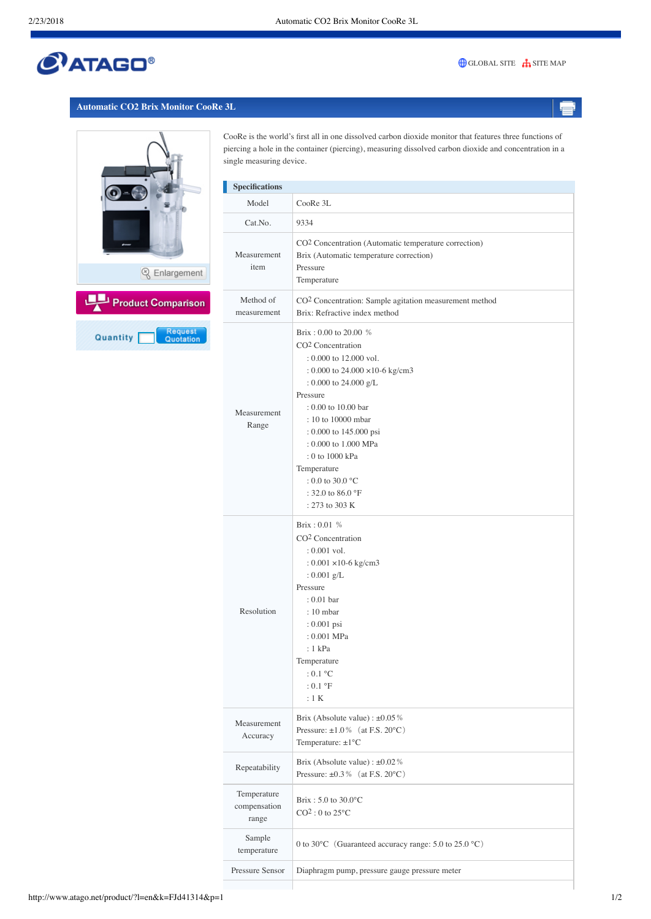# $C$ ATAGO®

### [GLOBAL SITE](http://www.atago.net/) **[SITE MAP](http://www.atago.net/english/sitemap.html)**

### **Automatic CO2 Brix Monitor CooRe 3L**



CooRe is the world's first all in one dissolved carbon dioxide monitor that features three functions of piercing a hole in the container (piercing), measuring dissolved carbon dioxide and concentration in a single measuring device.

| <b>Specifications</b>                |                                                                                                                                                                                                                                                                                                                                                                               |
|--------------------------------------|-------------------------------------------------------------------------------------------------------------------------------------------------------------------------------------------------------------------------------------------------------------------------------------------------------------------------------------------------------------------------------|
| Model                                | CooRe 3L                                                                                                                                                                                                                                                                                                                                                                      |
| Cat.No.                              | 9334                                                                                                                                                                                                                                                                                                                                                                          |
| Measurement<br>item                  | CO <sup>2</sup> Concentration (Automatic temperature correction)<br>Brix (Automatic temperature correction)<br>Pressure<br>Temperature                                                                                                                                                                                                                                        |
| Method of<br>measurement             | CO <sup>2</sup> Concentration: Sample agitation measurement method<br>Brix: Refractive index method                                                                                                                                                                                                                                                                           |
| Measurement<br>Range                 | Brix: $0.00$ to $20.00$ %<br>CO <sup>2</sup> Concentration<br>: 0.000 to 12.000 vol.<br>: 0.000 to 24.000 $\times$ 10-6 kg/cm3<br>: 0.000 to 24.000 $g/L$<br>Pressure<br>: 0.00 to 10.00 bar<br>: 10 to 10000 mbar<br>: 0.000 to 145.000 psi<br>: 0.000 to 1.000 MPa<br>: 0 to 1000 kPa<br>Temperature<br>$: 0.0$ to 30.0 °C<br>: 32.0 to 86.0 $^{\circ}$ F<br>: 273 to 303 K |
| Resolution                           | Brix: 0.01 %<br>CO <sup>2</sup> Concentration<br>$: 0.001$ vol.<br>: $0.001 \times 10$ -6 kg/cm3<br>: $0.001$ g/L<br>Pressure<br>$: 0.01$ bar<br>$: 10$ mbar<br>: 0.001 psi<br>: 0.001 MPa<br>: 1 kPa<br>Temperature<br>$:0.1\text{ °C}$<br>$:0.1\text{ }^{\circ}F$<br>:1 K                                                                                                   |
| Measurement<br>Accuracy              | Brix (Absolute value) : $\pm 0.05\%$<br>Pressure: $\pm 1.0\%$ (at F.S. 20°C)<br>Temperature: $\pm 1^{\circ}$ C                                                                                                                                                                                                                                                                |
| Repeatability                        | Brix (Absolute value) : $\pm 0.02\%$<br>Pressure: $\pm 0.3\%$ (at F.S. 20°C)                                                                                                                                                                                                                                                                                                  |
| Temperature<br>compensation<br>range | Brix: 5.0 to 30.0°C<br>$CO2$ : 0 to 25 $^{\circ}$ C                                                                                                                                                                                                                                                                                                                           |
| Sample<br>temperature                | 0 to 30°C (Guaranteed accuracy range: 5.0 to 25.0 °C)                                                                                                                                                                                                                                                                                                                         |
| Pressure Sensor                      | Diaphragm pump, pressure gauge pressure meter                                                                                                                                                                                                                                                                                                                                 |
|                                      |                                                                                                                                                                                                                                                                                                                                                                               |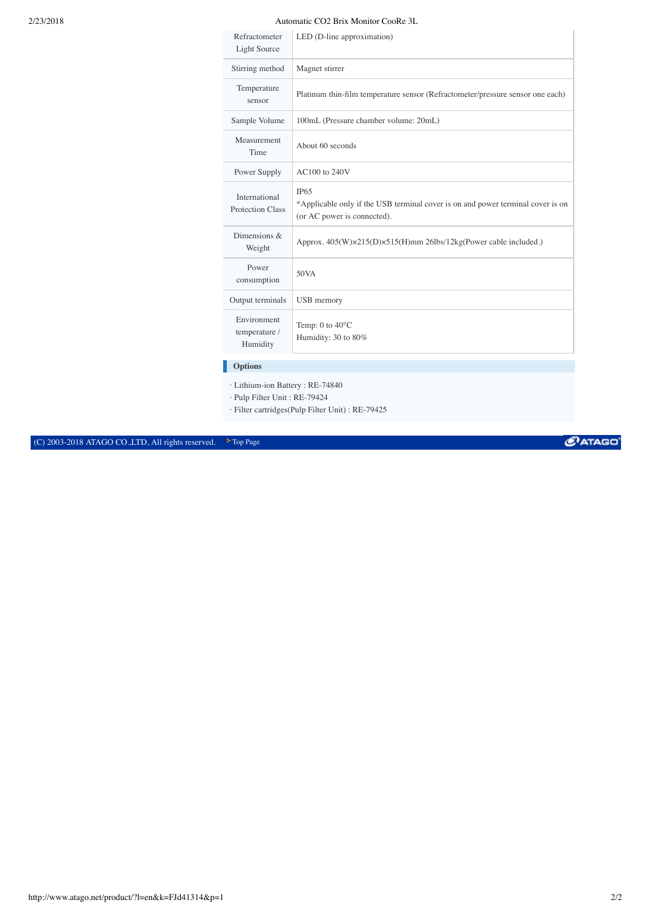## 2/23/2018 Automatic CO2 Brix Monitor CooRe 3L

| Refractometer<br><b>Light Source</b>     | LED (D-line approximation)                                                                                                    |
|------------------------------------------|-------------------------------------------------------------------------------------------------------------------------------|
| Stirring method                          | Magnet stirrer                                                                                                                |
| Temperature<br>sensor                    | Platinum thin-film temperature sensor (Refractometer/pressure sensor one each)                                                |
| Sample Volume                            | 100mL (Pressure chamber volume: 20mL)                                                                                         |
| Measurement<br>Time                      | About 60 seconds                                                                                                              |
| Power Supply                             | AC100 to 240V                                                                                                                 |
| International<br>Protection Class        | <b>IP65</b><br>*Applicable only if the USB terminal cover is on and power terminal cover is on<br>(or AC power is connected). |
| Dimensions $\&$<br>Weight                | Approx. 405(W)×215(D)×515(H)mm 26lbs/12kg(Power cable included.)                                                              |
| Power<br>consumption                     | 50VA                                                                                                                          |
| Output terminals                         | USB memory                                                                                                                    |
| Environment<br>temperature /<br>Humidity | Temp: $0$ to $40^{\circ}$ C<br>Humidity: 30 to 80%                                                                            |
| <b>Options</b>                           |                                                                                                                               |

· Lithium-ion Battery : RE-74840

· Pulp Filter Unit : RE-79424

· Filter cartridges(Pulp Filter Unit) : RE-79425

(C) 2003-2018 ATAGO CO., LTD, All rights reserved.  $\bullet$  [Top Page](http://www.atago.net/english/index.html)

 $C$ ATAGO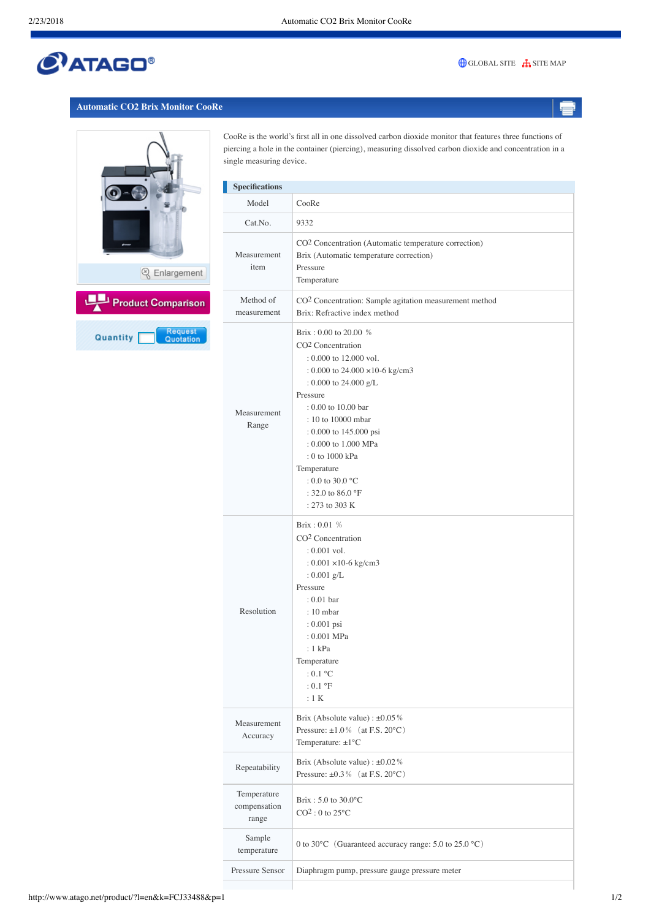# $C$ ATAGO®

### [GLOBAL SITE](http://www.atago.net/) **[SITE MAP](http://www.atago.net/english/sitemap.html)**

#### **Automatic CO2 Brix Monitor CooRe**



CooRe is the world's first all in one dissolved carbon dioxide monitor that features three functions of piercing a hole in the container (piercing), measuring dissolved carbon dioxide and concentration in a single measuring device.

| <b>Specifications</b>                |                                                                                                                                                                                                                                                                                                                                                                               |
|--------------------------------------|-------------------------------------------------------------------------------------------------------------------------------------------------------------------------------------------------------------------------------------------------------------------------------------------------------------------------------------------------------------------------------|
| Model                                | CooRe                                                                                                                                                                                                                                                                                                                                                                         |
| Cat.No.                              | 9332                                                                                                                                                                                                                                                                                                                                                                          |
| Measurement<br>item                  | CO <sup>2</sup> Concentration (Automatic temperature correction)<br>Brix (Automatic temperature correction)<br>Pressure<br>Temperature                                                                                                                                                                                                                                        |
| Method of<br>measurement             | CO <sup>2</sup> Concentration: Sample agitation measurement method<br>Brix: Refractive index method                                                                                                                                                                                                                                                                           |
| Measurement<br>Range                 | Brix: 0.00 to 20.00 %<br>CO <sup>2</sup> Concentration<br>: 0.000 to 12.000 vol.<br>: 0.000 to 24.000 $\times$ 10-6 kg/cm3<br>: 0.000 to 24.000 $g/L$<br>Pressure<br>$: 0.00$ to 10.00 bar<br>: 10 to 10000 mbar<br>: 0.000 to 145.000 psi<br>: 0.000 to 1.000 MPa<br>: 0 to 1000 kPa<br>Temperature<br>$: 0.0$ to 30.0 °C<br>: 32.0 to 86.0 $^{\circ}$ F<br>$: 273$ to 303 K |
| Resolution                           | Brix: 0.01 %<br>CO <sup>2</sup> Concentration<br>$: 0.001$ vol.<br>: $0.001 \times 10$ -6 kg/cm3<br>: $0.001$ g/L<br>Pressure<br>$: 0.01$ bar<br>$: 10$ mbar<br>: 0.001 psi<br>: 0.001 MPa<br>: 1 kPa<br>Temperature<br>: 0.1 °C<br>$:0.1\text{ }^{\circ}F$<br>:1 K                                                                                                           |
| Measurement<br>Accuracy              | Brix (Absolute value) : $\pm 0.05\%$<br>Pressure: $\pm 1.0\%$ (at F.S. 20°C)<br>Temperature: $\pm 1^{\circ}$ C                                                                                                                                                                                                                                                                |
| Repeatability                        | Brix (Absolute value) : $\pm 0.02\%$<br>Pressure: $\pm 0.3\%$ (at F.S. 20°C)                                                                                                                                                                                                                                                                                                  |
| Temperature<br>compensation<br>range | Brix: $5.0$ to $30.0$ °C<br>$CO2$ : 0 to 25 $^{\circ}$ C                                                                                                                                                                                                                                                                                                                      |
| Sample<br>temperature                | 0 to 30°C (Guaranteed accuracy range: 5.0 to 25.0 °C)                                                                                                                                                                                                                                                                                                                         |
| Pressure Sensor                      | Diaphragm pump, pressure gauge pressure meter                                                                                                                                                                                                                                                                                                                                 |
|                                      |                                                                                                                                                                                                                                                                                                                                                                               |